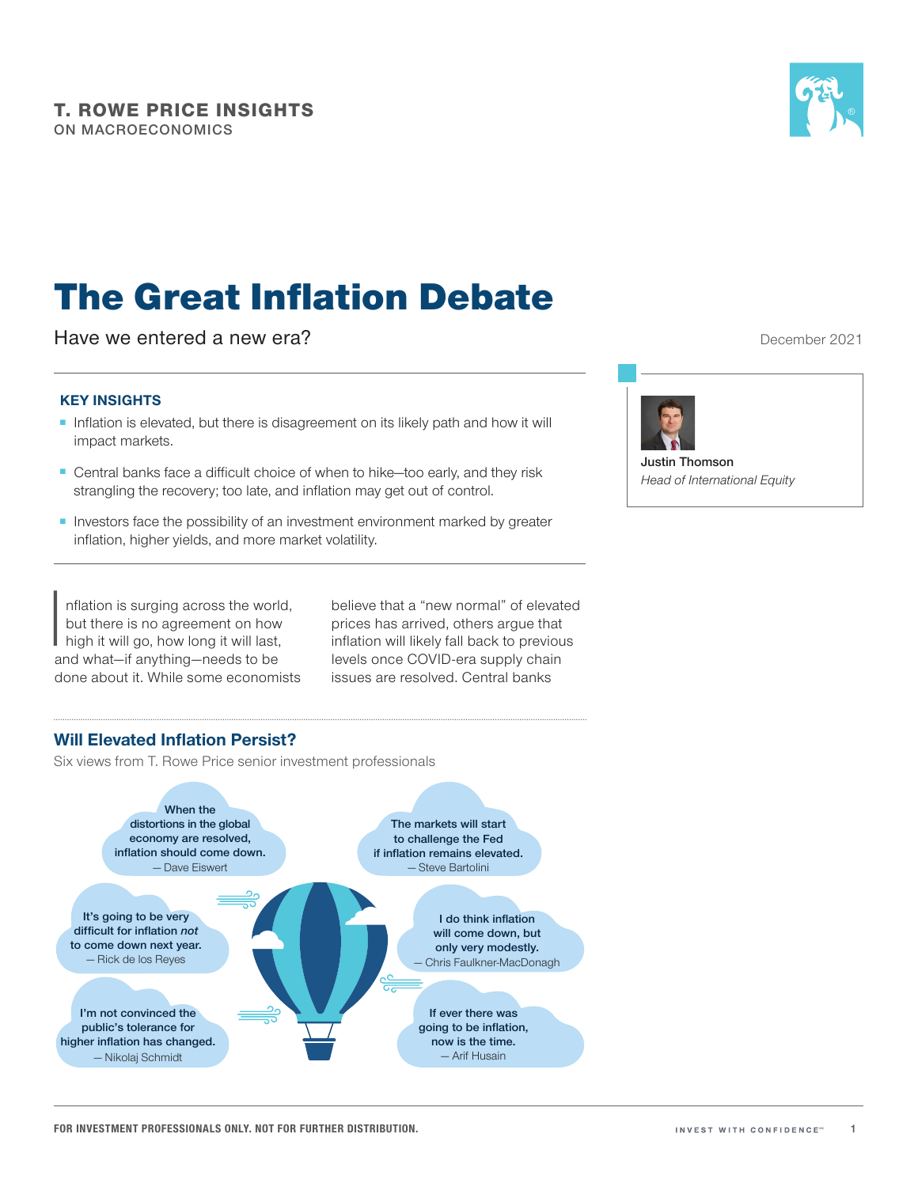

# The Great Inflation Debate

Have we entered a new era?

### **KEY INSIGHTS**

- Inflation is elevated, but there is disagreement on its likely path and how it will impact markets.
- Central banks face a difficult choice of when to hike–too early, and they risk strangling the recovery; too late, and inflation may get out of control.
- Investors face the possibility of an investment environment marked by greater inflation, higher yields, and more market volatility.

 $\begin{array}{c} \hline \end{array}$ nflation is surging across the world, but there is no agreement on how high it will go, how long it will last, and what—if anything—needs to be done about it. While some economists

believe that a "new normal" of elevated prices has arrived, others argue that inflation will likely fall back to previous levels once COVID‑era supply chain issues are resolved. Central banks

### **Will Elevated Inflation Persist?**

Six views from T. Rowe Price senior investment professionals



December 2021



**Justin Thomson** *Head of International Equity*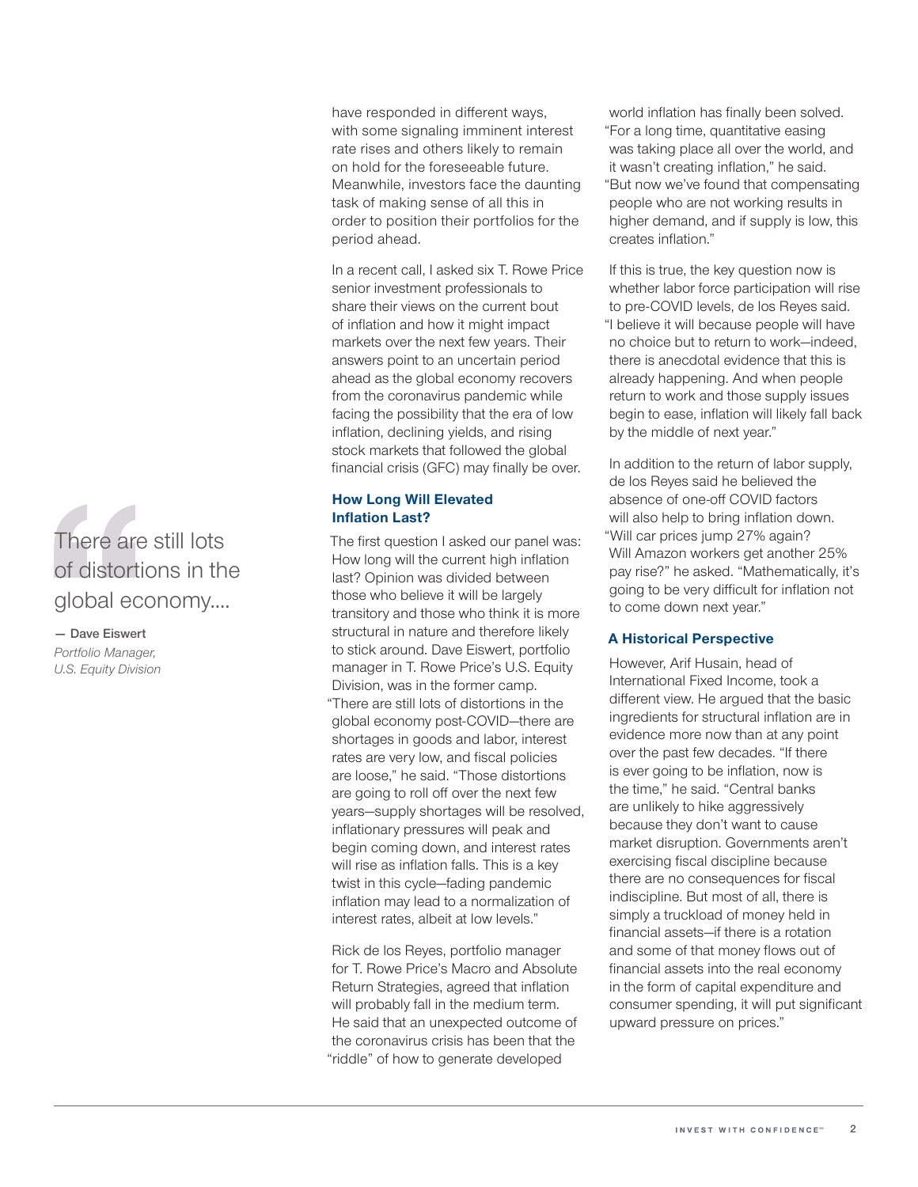## There are still lots of distortions in the global economy....

**— Dave Eiswert** *Portfolio Manager, U.S. Equity Division* have responded in different ways, with some signaling imminent interest rate rises and others likely to remain on hold for the foreseeable future. Meanwhile, investors face the daunting task of making sense of all this in order to position their portfolios for the period ahead.

In a recent call, I asked six T. Rowe Price senior investment professionals to share their views on the current bout of inflation and how it might impact markets over the next few years. Their answers point to an uncertain period ahead as the global economy recovers from the coronavirus pandemic while facing the possibility that the era of low inflation, declining yields, and rising stock markets that followed the global financial crisis (GFC) may finally be over.

### **How Long Will Elevated Inflation Last?**

The first question I asked our panel was: How long will the current high inflation last? Opinion was divided between those who believe it will be largely transitory and those who think it is more structural in nature and therefore likely to stick around. Dave Eiswert, portfolio manager in T. Rowe Price's U.S. Equity Division, was in the former camp. "There are still lots of distortions in the global economy post‑COVID—there are shortages in goods and labor, interest rates are very low, and fiscal policies are loose," he said. "Those distortions are going to roll off over the next few years—supply shortages will be resolved, inflationary pressures will peak and begin coming down, and interest rates will rise as inflation falls. This is a key twist in this cycle—fading pandemic inflation may lead to a normalization of interest rates, albeit at low levels."

Rick de los Reyes, portfolio manager for T. Rowe Price's Macro and Absolute Return Strategies, agreed that inflation will probably fall in the medium term. He said that an unexpected outcome of the coronavirus crisis has been that the "riddle" of how to generate developed

world inflation has finally been solved. "For a long time, quantitative easing was taking place all over the world, and it wasn't creating inflation," he said. "But now we've found that compensating people who are not working results in higher demand, and if supply is low, this creates inflation."

If this is true, the key question now is whether labor force participation will rise to pre‑COVID levels, de los Reyes said. "I believe it will because people will have no choice but to return to work—indeed, there is anecdotal evidence that this is already happening. And when people return to work and those supply issues begin to ease, inflation will likely fall back by the middle of next year."

In addition to the return of labor supply, de los Reyes said he believed the absence of one‑off COVID factors will also help to bring inflation down. "Will car prices jump 27% again? Will Amazon workers get another 25% pay rise?" he asked. "Mathematically, it's going to be very difficult for inflation not to come down next year."

### **A Historical Perspective**

However, Arif Husain, head of International Fixed Income, took a different view. He argued that the basic ingredients for structural inflation are in evidence more now than at any point over the past few decades. "If there is ever going to be inflation, now is the time," he said. "Central banks are unlikely to hike aggressively because they don't want to cause market disruption. Governments aren't exercising fiscal discipline because there are no consequences for fiscal indiscipline. But most of all, there is simply a truckload of money held in financial assets—if there is a rotation and some of that money flows out of financial assets into the real economy in the form of capital expenditure and consumer spending, it will put significant upward pressure on prices."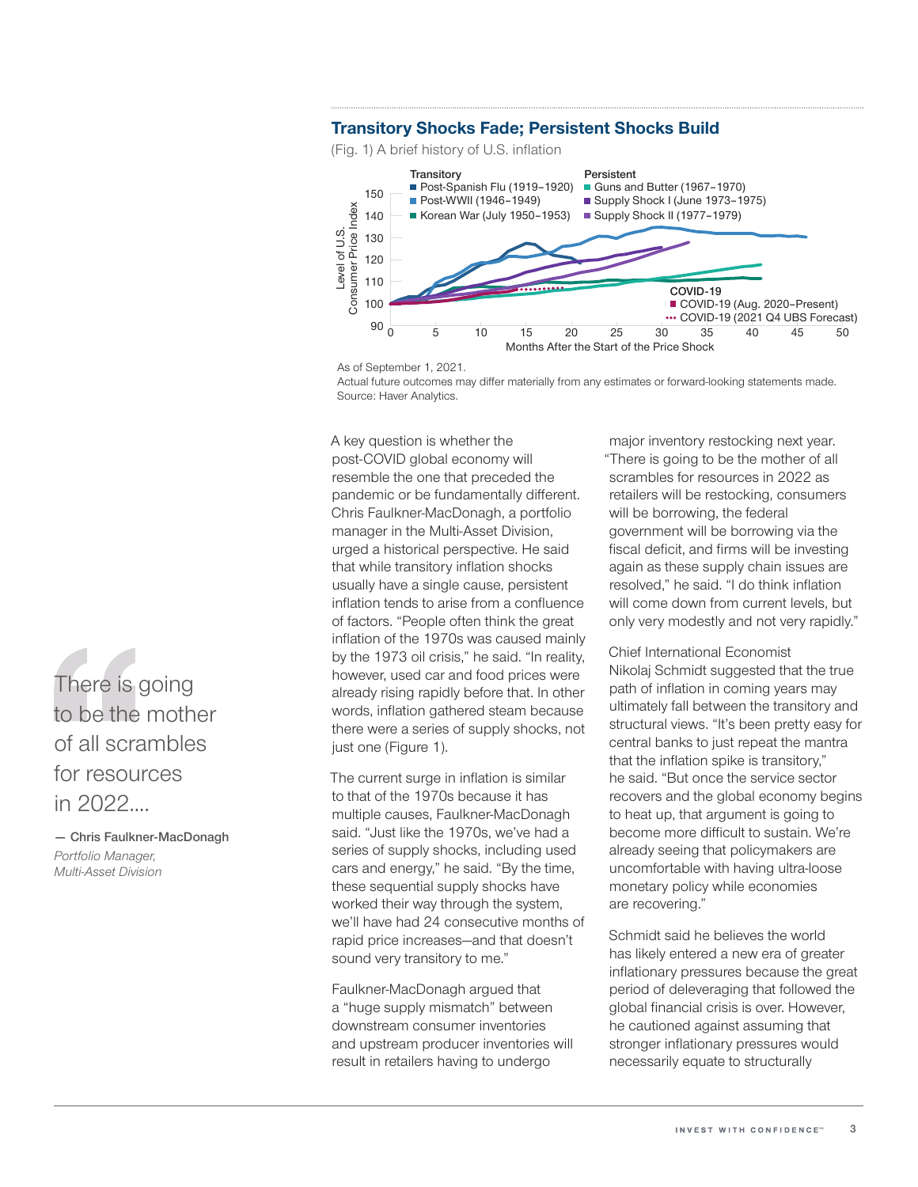### **Transitory Shocks Fade; Persistent Shocks Build**

(Fig. 1) A brief history of U.S. inflation



As of September 1, 2021.

Actual future outcomes may differ materially from any estimates or forward-looking statements made. Source: Haver Analytics.

A key question is whether the post‑COVID global economy will resemble the one that preceded the pandemic or be fundamentally different. Chris Faulkner‑MacDonagh, a portfolio manager in the Multi-Asset Division. urged a historical perspective. He said that while transitory inflation shocks usually have a single cause, persistent inflation tends to arise from a confluence of factors. "People often think the great inflation of the 1970s was caused mainly by the 1973 oil crisis," he said. "In reality, however, used car and food prices were already rising rapidly before that. In other words, inflation gathered steam because there were a series of supply shocks, not just one (Figure 1).

The current surge in inflation is similar to that of the 1970s because it has multiple causes, Faulkner‑MacDonagh said. "Just like the 1970s, we've had a series of supply shocks, including used cars and energy," he said. "By the time, these sequential supply shocks have worked their way through the system, we'll have had 24 consecutive months of rapid price increases—and that doesn't sound very transitory to me."

Faulkner‑MacDonagh argued that a "huge supply mismatch" between downstream consumer inventories and upstream producer inventories will result in retailers having to undergo

major inventory restocking next year. "There is going to be the mother of all scrambles for resources in 2022 as retailers will be restocking, consumers will be borrowing, the federal government will be borrowing via the fiscal deficit, and firms will be investing again as these supply chain issues are resolved," he said. "I do think inflation will come down from current levels, but only very modestly and not very rapidly."

Chief International Economist Nikolaj Schmidt suggested that the true path of inflation in coming years may ultimately fall between the transitory and structural views. "It's been pretty easy for central banks to just repeat the mantra that the inflation spike is transitory," he said. "But once the service sector recovers and the global economy begins to heat up, that argument is going to become more difficult to sustain. We're already seeing that policymakers are uncomfortable with having ultra‑loose monetary policy while economies are recovering."

Schmidt said he believes the world has likely entered a new era of greater inflationary pressures because the great period of deleveraging that followed the global financial crisis is over. However, he cautioned against assuming that stronger inflationary pressures would necessarily equate to structurally

There is going to be the mother of all scrambles for resources in 2022....

**— Chris Faulkner-MacDonagh** *Portfolio Manager, Multi‑Asset Division*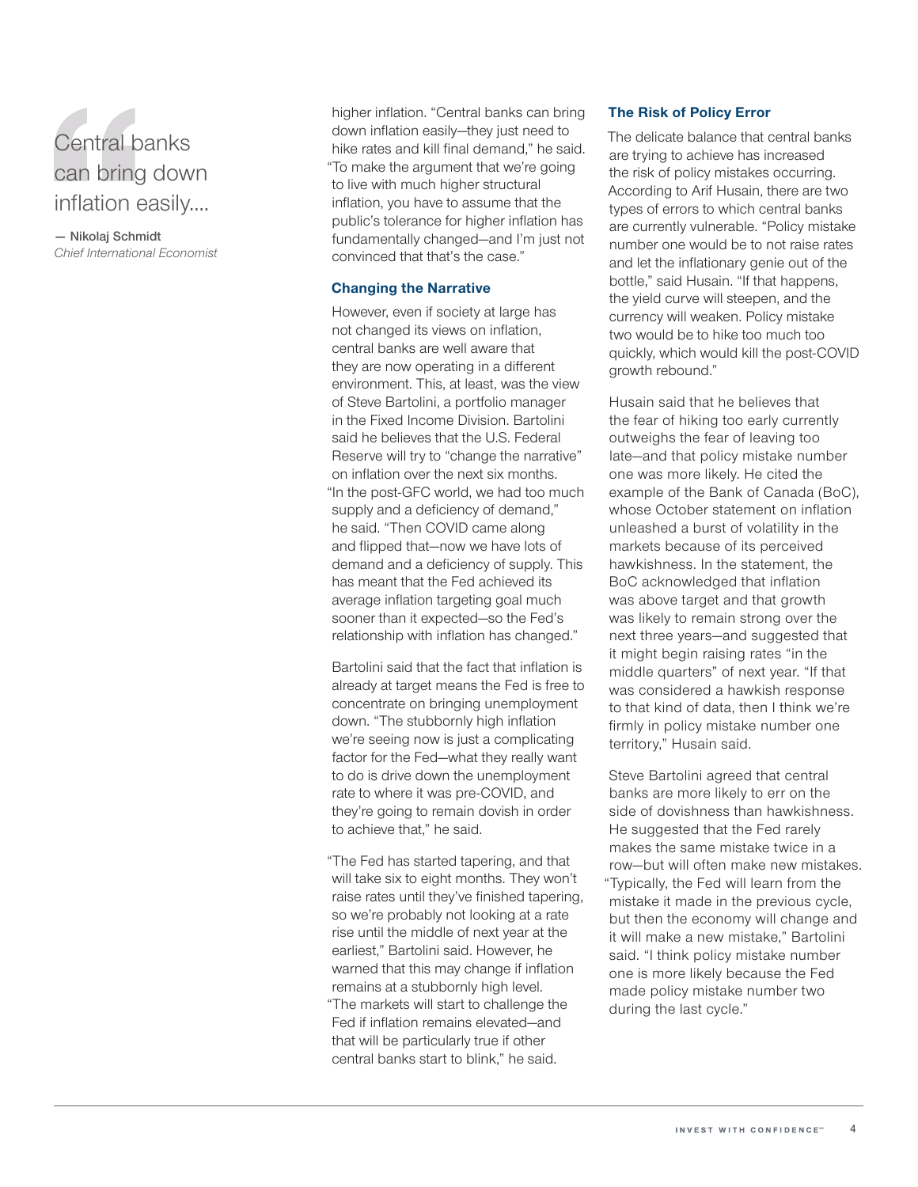# Central banks can bring down inflation easily....

**— Nikolaj Schmidt** *Chief International Economist*

higher inflation. "Central banks can bring down inflation easily—they just need to hike rates and kill final demand," he said. "To make the argument that we're going to live with much higher structural inflation, you have to assume that the public's tolerance for higher inflation has fundamentally changed—and I'm just not convinced that that's the case."

### **Changing the Narrative**

However, even if society at large has not changed its views on inflation, central banks are well aware that they are now operating in a different environment. This, at least, was the view of Steve Bartolini, a portfolio manager in the Fixed Income Division. Bartolini said he believes that the U.S. Federal Reserve will try to "change the narrative" on inflation over the next six months. "In the post‑GFC world, we had too much supply and a deficiency of demand," he said. "Then COVID came along and flipped that—now we have lots of demand and a deficiency of supply. This has meant that the Fed achieved its average inflation targeting goal much sooner than it expected—so the Fed's relationship with inflation has changed."

Bartolini said that the fact that inflation is already at target means the Fed is free to concentrate on bringing unemployment down. "The stubbornly high inflation we're seeing now is just a complicating factor for the Fed—what they really want to do is drive down the unemployment rate to where it was pre‑COVID, and they're going to remain dovish in order to achieve that," he said.

"The Fed has started tapering, and that will take six to eight months. They won't raise rates until they've finished tapering, so we're probably not looking at a rate rise until the middle of next year at the earliest," Bartolini said. However, he warned that this may change if inflation remains at a stubbornly high level. "The markets will start to challenge the Fed if inflation remains elevated—and that will be particularly true if other central banks start to blink," he said.

### **The Risk of Policy Error**

The delicate balance that central banks are trying to achieve has increased the risk of policy mistakes occurring. According to Arif Husain, there are two types of errors to which central banks are currently vulnerable. "Policy mistake number one would be to not raise rates and let the inflationary genie out of the bottle," said Husain. "If that happens, the yield curve will steepen, and the currency will weaken. Policy mistake two would be to hike too much too quickly, which would kill the post‑COVID growth rebound."

Husain said that he believes that the fear of hiking too early currently outweighs the fear of leaving too late—and that policy mistake number one was more likely. He cited the example of the Bank of Canada (BoC), whose October statement on inflation unleashed a burst of volatility in the markets because of its perceived hawkishness. In the statement, the BoC acknowledged that inflation was above target and that growth was likely to remain strong over the next three years—and suggested that it might begin raising rates "in the middle quarters" of next year. "If that was considered a hawkish response to that kind of data, then I think we're firmly in policy mistake number one territory," Husain said.

Steve Bartolini agreed that central banks are more likely to err on the side of dovishness than hawkishness. He suggested that the Fed rarely makes the same mistake twice in a row—but will often make new mistakes. "Typically, the Fed will learn from the mistake it made in the previous cycle, but then the economy will change and it will make a new mistake," Bartolini said. "I think policy mistake number one is more likely because the Fed made policy mistake number two during the last cycle."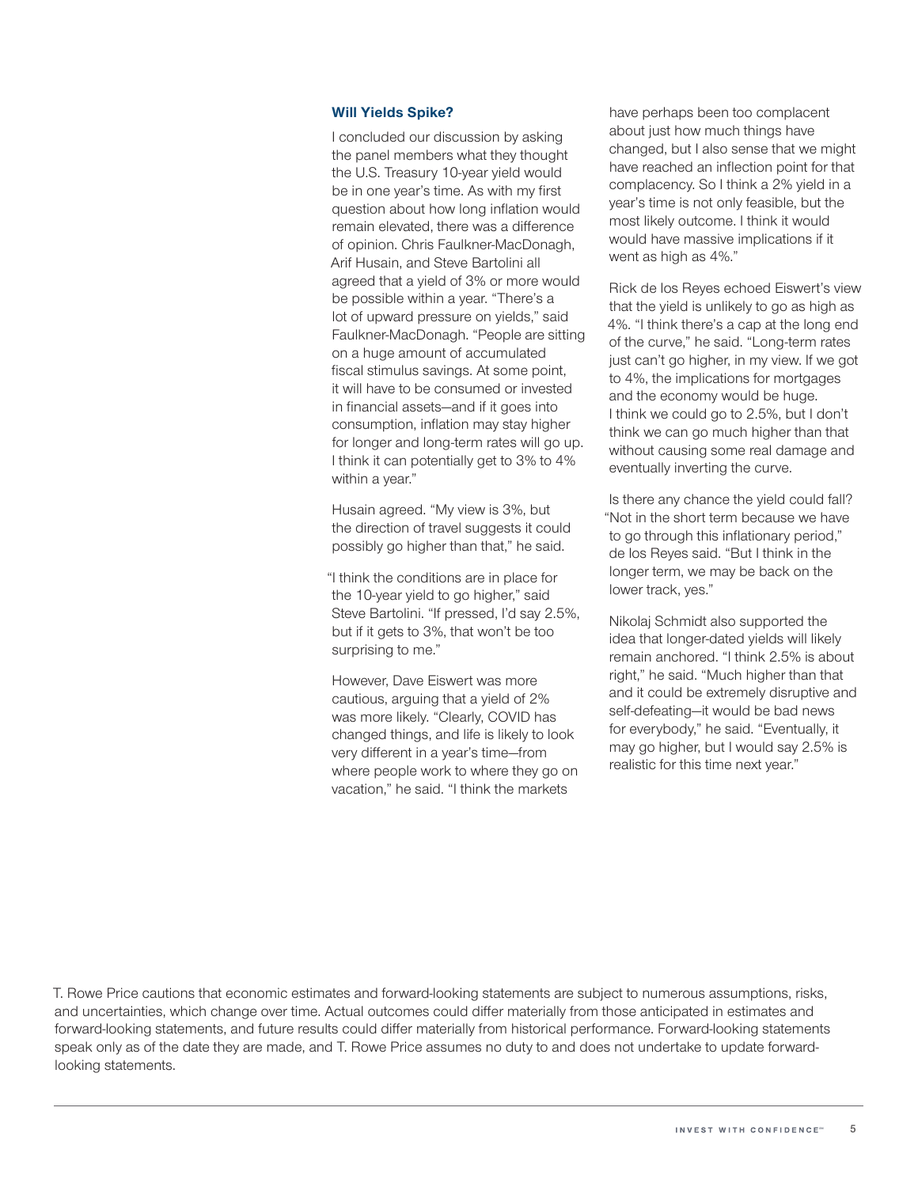#### **Will Yields Spike?**

I concluded our discussion by asking the panel members what they thought the U.S. Treasury 10-year yield would be in one year's time. As with my first question about how long inflation would remain elevated, there was a difference of opinion. Chris Faulkner‑MacDonagh, Arif Husain, and Steve Bartolini all agreed that a yield of 3% or more would be possible within a year. "There's a lot of upward pressure on yields," said Faulkner‑MacDonagh. "People are sitting on a huge amount of accumulated fiscal stimulus savings. At some point, it will have to be consumed or invested in financial assets—and if it goes into consumption, inflation may stay higher for longer and long-term rates will go up. I think it can potentially get to 3% to 4% within a year."

Husain agreed. "My view is 3%, but the direction of travel suggests it could possibly go higher than that," he said.

"I think the conditions are in place for the 10‑year yield to go higher," said Steve Bartolini. "If pressed, I'd say 2.5%, but if it gets to 3%, that won't be too surprising to me."

However, Dave Eiswert was more cautious, arguing that a yield of 2% was more likely. "Clearly, COVID has changed things, and life is likely to look very different in a year's time—from where people work to where they go on vacation," he said. "I think the markets

have perhaps been too complacent about just how much things have changed, but I also sense that we might have reached an inflection point for that complacency. So I think a 2% yield in a year's time is not only feasible, but the most likely outcome. I think it would would have massive implications if it went as high as 4%."

Rick de los Reyes echoed Eiswert's view that the yield is unlikely to go as high as 4%. "I think there's a cap at the long end of the curve," he said. "Long-term rates just can't go higher, in my view. If we got to 4%, the implications for mortgages and the economy would be huge. I think we could go to 2.5%, but I don't think we can go much higher than that without causing some real damage and eventually inverting the curve.

Is there any chance the yield could fall? "Not in the short term because we have to go through this inflationary period," de los Reyes said. "But I think in the longer term, we may be back on the lower track, yes."

Nikolaj Schmidt also supported the idea that longer-dated yields will likely remain anchored. "I think 2.5% is about right," he said. "Much higher than that and it could be extremely disruptive and self-defeating-it would be bad news for everybody," he said. "Eventually, it may go higher, but I would say 2.5% is realistic for this time next year."

T. Rowe Price cautions that economic estimates and forward-looking statements are subject to numerous assumptions, risks, and uncertainties, which change over time. Actual outcomes could differ materially from those anticipated in estimates and forward-looking statements, and future results could differ materially from historical performance. Forward-looking statements speak only as of the date they are made, and T. Rowe Price assumes no duty to and does not undertake to update forwardlooking statements.